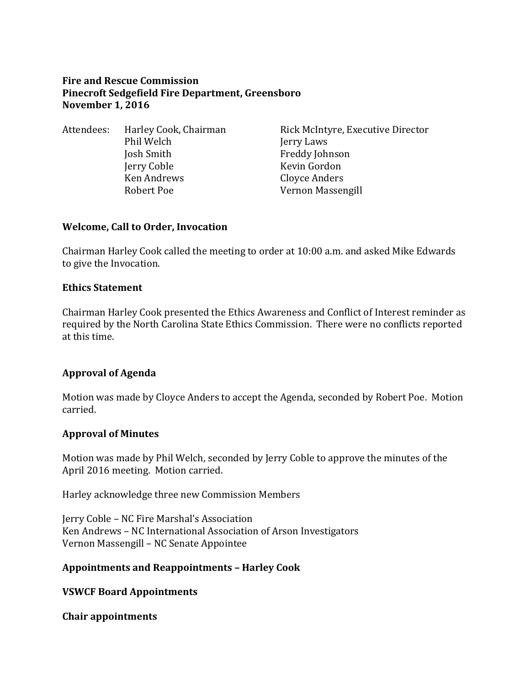## **Fire and Rescue Commission Pinecroft Sedgefield Fire Department, Greensboro November 1, 2016**

Attendees: Harley Cook, Chairman Rick McIntyre, Executive Director Phil Welch Jerry Laws Josh Smith Freddy Johnson Jerry Coble Kevin Gordon Ken Andrews Cloyce Anders Robert Poe Vernon Massengill

## **Welcome, Call to Order, Invocation**

Chairman Harley Cook called the meeting to order at 10:00 a.m. and asked Mike Edwards to give the Invocation.

#### **Ethics Statement**

Chairman Harley Cook presented the Ethics Awareness and Conflict of Interest reminder as required by the North Carolina State Ethics Commission. There were no conflicts reported at this time.

## **Approval of Agenda**

Motion was made by Cloyce Anders to accept the Agenda, seconded by Robert Poe. Motion carried.

## **Approval of Minutes**

Motion was made by Phil Welch, seconded by Jerry Coble to approve the minutes of the April 2016 meeting. Motion carried.

Harley acknowledge three new Commission Members

Jerry Coble – NC Fire Marshal's Association Ken Andrews – NC International Association of Arson Investigators Vernon Massengill – NC Senate Appointee

## **Appointments and Reappointments – Harley Cook**

**VSWCF Board Appointments**

#### **Chair appointments**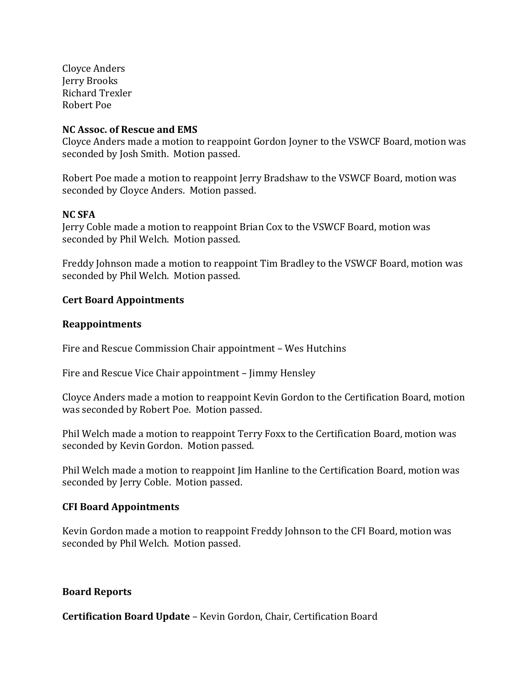Cloyce Anders Jerry Brooks Richard Trexler Robert Poe

#### **NC Assoc. of Rescue and EMS**

Cloyce Anders made a motion to reappoint Gordon Joyner to the VSWCF Board, motion was seconded by Josh Smith. Motion passed.

Robert Poe made a motion to reappoint Jerry Bradshaw to the VSWCF Board, motion was seconded by Cloyce Anders. Motion passed.

### **NC SFA**

Jerry Coble made a motion to reappoint Brian Cox to the VSWCF Board, motion was seconded by Phil Welch. Motion passed.

Freddy Johnson made a motion to reappoint Tim Bradley to the VSWCF Board, motion was seconded by Phil Welch. Motion passed.

#### **Cert Board Appointments**

#### **Reappointments**

Fire and Rescue Commission Chair appointment – Wes Hutchins

Fire and Rescue Vice Chair appointment – Jimmy Hensley

Cloyce Anders made a motion to reappoint Kevin Gordon to the Certification Board, motion was seconded by Robert Poe. Motion passed.

Phil Welch made a motion to reappoint Terry Foxx to the Certification Board, motion was seconded by Kevin Gordon. Motion passed.

Phil Welch made a motion to reappoint Jim Hanline to the Certification Board, motion was seconded by Jerry Coble. Motion passed.

#### **CFI Board Appointments**

Kevin Gordon made a motion to reappoint Freddy Johnson to the CFI Board, motion was seconded by Phil Welch. Motion passed.

#### **Board Reports**

**Certification Board Update** – Kevin Gordon, Chair, Certification Board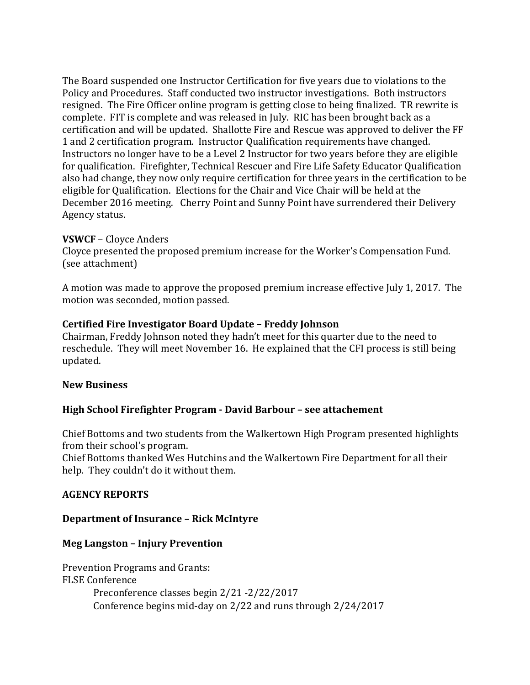The Board suspended one Instructor Certification for five years due to violations to the Policy and Procedures. Staff conducted two instructor investigations. Both instructors resigned. The Fire Officer online program is getting close to being finalized. TR rewrite is complete. FIT is complete and was released in July. RIC has been brought back as a certification and will be updated. Shallotte Fire and Rescue was approved to deliver the FF 1 and 2 certification program. Instructor Qualification requirements have changed. Instructors no longer have to be a Level 2 Instructor for two years before they are eligible for qualification. Firefighter, Technical Rescuer and Fire Life Safety Educator Qualification also had change, they now only require certification for three years in the certification to be eligible for Qualification. Elections for the Chair and Vice Chair will be held at the December 2016 meeting. Cherry Point and Sunny Point have surrendered their Delivery Agency status.

## **VSWCF** – Cloyce Anders

Cloyce presented the proposed premium increase for the Worker's Compensation Fund. (see attachment)

A motion was made to approve the proposed premium increase effective July 1, 2017. The motion was seconded, motion passed.

### **Certified Fire Investigator Board Update – Freddy Johnson**

Chairman, Freddy Johnson noted they hadn't meet for this quarter due to the need to reschedule. They will meet November 16. He explained that the CFI process is still being updated.

#### **New Business**

## **High School Firefighter Program - David Barbour – see attachement**

Chief Bottoms and two students from the Walkertown High Program presented highlights from their school's program.

Chief Bottoms thanked Wes Hutchins and the Walkertown Fire Department for all their help. They couldn't do it without them.

#### **AGENCY REPORTS**

#### **Department of Insurance – Rick McIntyre**

#### **Meg Langston – Injury Prevention**

Prevention Programs and Grants: FLSE Conference Preconference classes begin 2/21 -2/22/2017 Conference begins mid-day on 2/22 and runs through 2/24/2017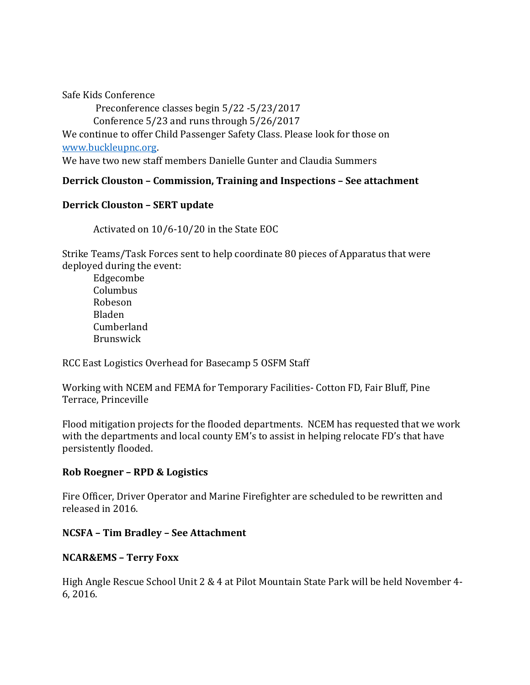Safe Kids Conference

Preconference classes begin 5/22 -5/23/2017 Conference 5/23 and runs through 5/26/2017

We continue to offer Child Passenger Safety Class. Please look for those on [www.buckleupnc.org.](http://www.buckleupnc.org/)

We have two new staff members Danielle Gunter and Claudia Summers

# **Derrick Clouston – Commission, Training and Inspections – See attachment**

## **Derrick Clouston – SERT update**

Activated on 10/6-10/20 in the State EOC

Strike Teams/Task Forces sent to help coordinate 80 pieces of Apparatus that were deployed during the event:

Edgecombe Columbus Robeson Bladen Cumberland Brunswick

RCC East Logistics Overhead for Basecamp 5 OSFM Staff

Working with NCEM and FEMA for Temporary Facilities- Cotton FD, Fair Bluff, Pine Terrace, Princeville

Flood mitigation projects for the flooded departments. NCEM has requested that we work with the departments and local county EM's to assist in helping relocate FD's that have persistently flooded.

## **Rob Roegner – RPD & Logistics**

Fire Officer, Driver Operator and Marine Firefighter are scheduled to be rewritten and released in 2016.

## **NCSFA – Tim Bradley – See Attachment**

# **NCAR&EMS – Terry Foxx**

High Angle Rescue School Unit 2 & 4 at Pilot Mountain State Park will be held November 4- 6, 2016.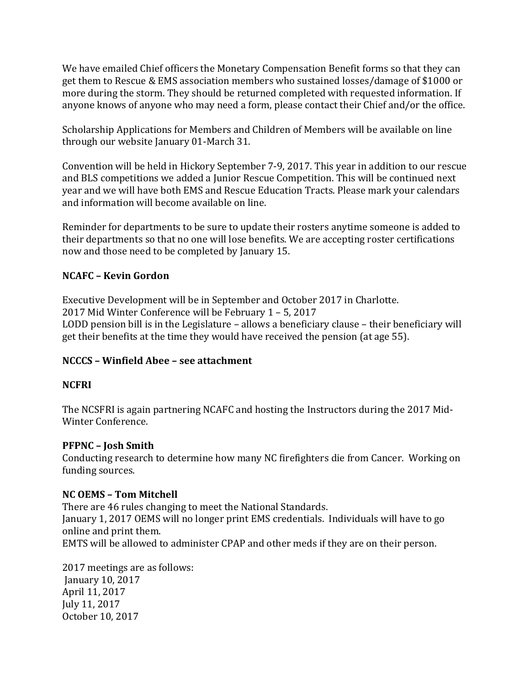We have emailed Chief officers the Monetary Compensation Benefit forms so that they can get them to Rescue & EMS association members who sustained losses/damage of \$1000 or more during the storm. They should be returned completed with requested information. If anyone knows of anyone who may need a form, please contact their Chief and/or the office.

Scholarship Applications for Members and Children of Members will be available on line through our website January 01-March 31.

Convention will be held in Hickory September 7-9, 2017. This year in addition to our rescue and BLS competitions we added a Junior Rescue Competition. This will be continued next year and we will have both EMS and Rescue Education Tracts. Please mark your calendars and information will become available on line.

Reminder for departments to be sure to update their rosters anytime someone is added to their departments so that no one will lose benefits. We are accepting roster certifications now and those need to be completed by January 15.

# **NCAFC – Kevin Gordon**

Executive Development will be in September and October 2017 in Charlotte. 2017 Mid Winter Conference will be February 1 – 5, 2017 LODD pension bill is in the Legislature – allows a beneficiary clause – their beneficiary will get their benefits at the time they would have received the pension (at age 55).

# **NCCCS – Winfield Abee – see attachment**

# **NCFRI**

The NCSFRI is again partnering NCAFC and hosting the Instructors during the 2017 Mid-Winter Conference.

# **PFPNC – Josh Smith**

Conducting research to determine how many NC firefighters die from Cancer. Working on funding sources.

# **NC OEMS – Tom Mitchell**

There are 46 rules changing to meet the National Standards. January 1, 2017 OEMS will no longer print EMS credentials. Individuals will have to go online and print them. EMTS will be allowed to administer CPAP and other meds if they are on their person.

2017 meetings are as follows: January 10, 2017 April 11, 2017 July 11, 2017 October 10, 2017